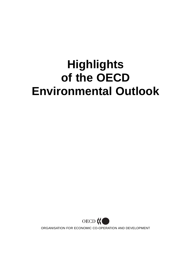# **Highlights of the OECD Environmental Outlook**



ORGANISATION FOR ECONOMIC CO-OPERATION AND DEVELOPMENT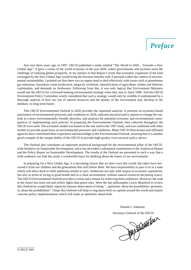# *Preface*

Just over three years ago, in 1997, OECD published a study entitled "The World in 2020 – Towards a New Global Age". It gave a vision of the world economy in the year 2020, where governments and societies seize the challenge of realising global prosperity. In my preface to that Report I wrote that economic expansion of the kind envisaged by the New Global Age would bring the foreseen benefits only if pursued within the context of environmental sustainability. I pointed out that there was an urgent need to deal effectively with issues such as greenhouse gas emissions, hazardous waste production, megacity evolution, intensification of agriculture, timber and fisheries exploitation, and demands on freshwater. Following from this, it was only logical that Environment Ministers would ask the OECD for a forward-looking environmental strategy when they met in April 1998. And the OECD Environment Policy Committee wisely considered that such a strategy would only be credible if underpinned by a thorough analysis of how our use of natural resources and the quality of the environment may develop in the medium- to long-term future.

This OECD *Environmental Outlook* to 2020 provides the requested analysis. It presents an economy-based assessment of environmental pressures and conditions to 2020, indicates practical policy options to change the outlook in a more environmentally friendly direction, and analyses the potential economic and environmental consequences of implementing such policies. In preparing the *Environmental Outlook*, data collected throughout the OECD were used. The economic model was based on the one used in the 1997 study, and was combined with other models to provide projections on environmental pressures and conditions. Many OECD Directorates and affiliated agencies have contributed their experience and knowledge to the *Environmental Outlook,* ensuring that it is another good example of the unique ability of the OECD to provide high-quality cross-sectoral policy advice.

The *Outlook* also constitutes an important analytical background for the environmental pillar of the OECDwide Initiative on Sustainable Development, and it has provided a substantial contribution to the Analytical Report and the Policy Report on Sustainable Development. The results of the *Outlook* are presented in such a way that a wide audience can find this study a worthwhile basis for thinking about the future of our environment.

In preparing for a New Global Age, it is becoming clearer that we don't own this world, but rather have borrowed it from our children and the generations that will follow them. We have responsibility to pass it on in a state which will allow them to fulfil ambitions similar to ours. Ambitions not only with respect to economic aspirations, but also in terms of living in good health and in a clean environment, without natural resources becoming scarce. The OECD *Environmental Outlook* provides a vision and a means for achieving these ambitions. However, the road to the future has more red and yellow lights than green ones. Were the late philosopher Lewis Mumford to review this *Outlook* he would likely repeat his famous observation of being "...optimistic about the possibilities; pessimistic about the probabilities". I hope this *Outlook* will help to ring alarm bells in capitals around the world and inspire concrete policy implementation which will make us optimistic about both.

Donald J. Johnston

Secretary-General of the OECD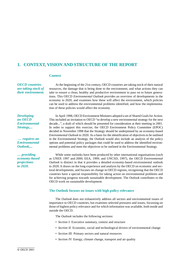## **1. CONTEXT, VISION AND STRUCTURE OF THE REPORT**

#### **Context**

*OECD countries are taking stock of their environment.*

At the beginning of the 21st century, OECD countries are taking stock of their natural resources, the damage that is being done to the environment, and what actions they can take to ensure a clean, healthy and productive environment to pass on to future generations. This OECD *Environmental Outlook* provides an overview of developments in the economy to 2020, and examines how these will affect the environment, which policies can be used to address the environmental problems identified, and how the implementation of these policies would affect the economy.

*Developing an OECD Environmental Strategy,...*

 *… requires an Environmental Outlook,...*

*… providing economy-based projections to 2020.*

In April 1998, OECD Environment Ministers adopted a set of Shared Goals for Action. This included an invitation to OECD "to develop a new environmental strategy for the next decade...", a draft of which should be presented for consideration at their meeting in 2001. In order to support this exercise, the OECD Environment Policy Committee (EPOC) decided in November 1998 that the Strategy should be underpinned by an economy-based *Environmental Outlook* to 2020. As a basis for the identification of objectives to be outlined in the Environmental Strategy, the *Outlook* would also include an analysis of the policy options and potential policy packages that could be used to address the identified environmental problems and meet the objectives to be outlined in the Environmental Strategy.

While some outlooks have been produced by other international organisations (such as UNEP, 1997 and 2000; EEA, 1999; and UNCSD, 1997), the OECD *Environmental Outlook* is distinct in that it provides a detailed economy-based environmental outlook to 2020. It draws on the long experience and analysis by the OECD on economic and sectoral developments, and focuses on change in OECD regions, recognising that the OECD countries have a special responsibility for taking action on environmental problems and for achieving progress towards sustainable development. The *Outlook* contributes to the OECD work on sustainable development.

#### **The Outlook focuses on issues with high policy relevance**

The *Outlook* does not exhaustively address all sectors and environmental issues of importance to OECD countries, but examines selected pressures and issues, focussing on those of highest policy relevance and for which information was available, both inside and outside the OECD.

The *Outlook* includes the following sections:

- *Section I:* Executive summary, context and structure
- *Section II:* Economic, social and technological drivers of environmental change
- *Section III:* Primary sectors and natural resources
- *Section IV:* Energy, climate change, transport and air quality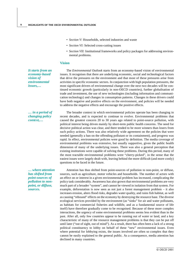- *Section V:* Households, selected industries and waste
- *Section VI:* Selected cross-cutting issues
- *Section VII:* Institutional frameworks and policy packages for addressing environmental problems.

#### **Vision**

*It starts from an economy-based vision of environmental issues,…*

The *Environmental Outlook* starts from an economy-based vision of environmental issues. It recognises that there are underlying economic, social and technological factors that drive the pressures on the environment and that most of these pressures arise from activities in specific economic sectors. In conjunction with high population pressures, the most significant drivers of environmental change over the next two decades will be continued economic growth (particularly in non-OECD countries), further globalisation of trade and investment, the use of new technologies (including information and communication technology) and changes in consumption patterns. Changes in these drivers could have both negative and positive effects on the environment, and policies will be needed to address the negative effects and encourage the positive effects.

*… in a period of changing policy context,…*

*… where attention has shifted from point-sources of pollution to nonpoint, or diffuse, sources.*

The broader context in which environmental policies operate has been changing in recent decades, and is expected to continue to evolve. Environmental problems that caused the greatest concern 20 to 30 years ago related to point-source pollution, with political interest being driven mainly by short-term public health concerns. The need for decisive political action was clear, and there tended to be more winners than losers from such policy actions. There was also relatively wide agreement on the policies that were needed (generally a ban on the offending pollutant or its containment), and progress was rapid. In effect, environmental policies were good by definition. The media coverage of environmental problems was extensive, but usually supportive, given the public health dimension of many of the underlying issues. There was also a general perception that existing institutions were capable of solving these problems. During this period, many of the most tractable environmental problems were "cherry-picked", in the sense that the easiest issues were largely dealt with, leaving behind the more difficult (and more costly) questions to be faced in the future.

Attention has thus shifted from point-sources of pollution to non-point, or diffuse, sources, such as agriculture, motor vehicles and households. The number of actors with an effect on or interest in a given environmental problem has increased, complicating the policy task considerably. Awareness has also grown that environmental problems are very much part of a broader "system", and cannot be viewed in isolation from that system. For example, deforestation is now seen as not just a forest management problem – it also increases erosion, alters flood risks, degrades water quality, and ruins fish habitat, as well as causing "rebound" effects on the economy by destroying the resource base. The diverse ecological services provided by the environment (as "sinks" for air and water pollutants, as habitats for commercial fisheries and wildlife, and as a fundamental source of life itself) have therefore gradually come to be recognised. Because of these more complex interactions, the urgency of some environmental problems seems less evident than in the past. After all, only few countries appear to be running out of water or land, and a key characteristic of many of the resource management problems is that they can be put off until later ("out of sight, out of mind"). As a result, there has often been a lack of a strong political constituency to lobby on behalf of these "new" environmental issues. Even where potential for lobbying exists, the issues involved are often so complex that they cannot be easily explained to the general public. As a consequence, media attention has declined in many countries.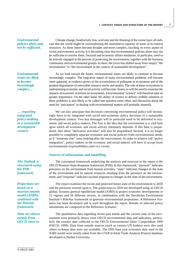*Environmental policies alone may not be sufficient.*

*Environmental issues are likely to become increasingly complex,…*

*… requiring integrated policy-making in a sustainable development context.*

*The Outlook is structured using the PSR framework.*

*Projections are based on a macroeconomic model (JOBS), combined with the Polestar framework.*

*Data are drawn mainly from OECD sources.*

Climate change, biodiversity loss, acid rain and the thinning of the ozone layer all indicate that the world might be overexploiting the assimilative capacity of some of its natural resources. As these issues become broader and more complex, touching on every aspect of social and economic activity, it is becoming clear that environmental policies alone may not be sufficient to resolve them. Sectoral and economic affairs ministries, in particular, need to be actively engaged in the process of protecting the environment, together with the business community and environmental groups. In short, the focus has shifted away from simply "the environment" to "the environment in the context of sustainable development".

As we look toward the future, environmental issues are likely to continue to become increasingly complex. The long-term nature of many environmental problems will become more apparent, as evidence grows of the accumulation of pollutants in ecosystems and of the gradual degradation of renewable resource stocks and quality. The role of these ecosystems in underpinning economic and social activity will become clearer, as will the need to examine the impacts of economic activities on ecosystems. Environmental "science" will therefore take on greater importance. On the other hand, the ability of science to deliver credible solutions to these problems is also likely to be called into question more often, and discussion about the need for "precaution" in dealing with environmental matters will probably intensify.

We can also anticipate that decisions concerning environmental policy will increasingly have to be integrated with social and economic policy decisions in a sustainable development context. Two key messages will in particular need to be delivered to economic and social policy-makers. The first is the idea that the environment is a vital base upon which all economic and social activity ultimately depends. If this base is jeopardised, then these "derivative activities" will also be jeopardised. Second, it is no longer possible to completely separate economic and social policies from environmental needs, as if "someone else" were looking after the environment. In order to achieve full "policy integration", policy-makers in the economic and social spheres will have to accept more environmental responsibilities (and *vice versa*).

#### **Sources of information and modelling**

The conceptual framework underlying the analysis and structure in the report is the OECD Pressure-State-Response framework (PSR). In this framework, "pressure" indicates pressures on the environment from human activities, "state" indicates changes in the state of the environment and its natural resources resulting from the pressures on the environment, and "response" indicates societal response to changes in the state of the environment.

The report examines the recent and projected future state of the environment to 2020 and the pressures exerted upon it. The projections to 2020 are developed using an OECD global, dynamic general equilibrium model (JOBS) to project economic developments in 12 regions and 26 different sectors, in combination with the Stockholm Environment Institute's PoleStar framework to generate environmental projections. A Reference Scenario has been developed and is used throughout the report. Results of selected policy simulations are compared to the Reference Scenario.

The quantitative data regarding recent past trends and the current state of the environment were primarily drawn from OECD environmental data and indicators, particularly the country data collected in the OECD *Environmental Data: Compendium 1999* (OECD, 1999). Data from outside sources (such as various UN bodies) were also used where in-house data were not available. The 1995 base year economic data used in the JOBS model were mostly taken from the GTAP (Global Trade Analysis Project) database developed at Purdue University.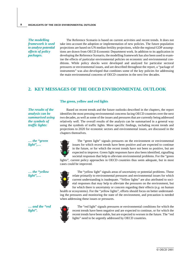*The modelling framework is used to analyse potential effects of policy packages.*

The Reference Scenario is based on current activities and recent trends. It does not take into account the adoption or implementation of new policies. The future population projections are based on UN median fertility projections, while the regional GDP assumptions are drawn from OECD Economic Department work. In addition to its application in developing the Reference Scenario, the modelling framework has also been used to examine the effects of particular environmental policies on economic and environmental conditions. While policy shocks were developed and analysed for particular sectoral pressures or environmental issues, and are described throughout the report, a "package of instruments" was also developed that combines some of the key policies for addressing the main environmental concerns of OECD countries in the next few decades.

### **2. KEY MESSAGES OF THE OECD ENVIRONMENTAL OUTLOOK**

#### **The green, yellow and red lights**

*The results of the analysis can be summarised using the symbols of traffic lights:*

*… the "green light",…*

*… the "yellow light",…*

*… and the "red light".*



The "red light" signals pressures or environmental conditions for which the recent trends have been negative and are expected to continue, or for which the recent trends have been stable, but are expected to worsen in the future. The "red lights" need to be urgently addressed by OECD countries.

Based on recent trends and the future outlooks described in the chapters, the report identifies the most pressing environmental concerns facing OECD countries over the next two decades, as well as some of the issues and pressures that are currently being addressed relatively well. The overall results of the analysis can be summarised in a general way using the symbols of traffic lights. More specific findings, including recent trends and projections to 2020 for economic sectors and environmental issues, are discussed in the chapters themselves.



in the future, or for which the recent trends have not been so positive, but are expected to improve. Green light responses have also been identified, signalling societal responses that help to alleviate environmental problems. For the "green lights", current policy approaches in OECD countries thus seem adequate, but in most cases could be improved.

The "green light" signals pressures on the environment or environmental issues for which recent trends have been positive and are expected to continue



The "yellow light" signals areas of uncertainty or potential problems. These relate primarily to environmental pressures and environmental issues for which current understanding is inadequate. "Yellow lights" are also attributed to societal responses that may help to alleviate the pressures on the environment, but for which there is uncertainty or concern regarding their effects (*e.g.* on human

health or ecosystems). For the "yellow lights", efforts should focus on better understanding the pressures and monitoring the state of the environment, and precaution is needed when addressing these issues or pressures.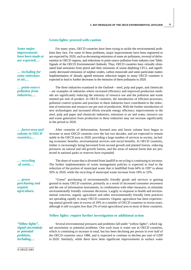#### **Green lights: proceed with caution**

*Some major improvements have been made or are expected,…*

*… including for some emissions to air,…*

*… point-source pollution from industries,…*

*… forest area and volume in OECD countries,…*

*… recycling of waste,…*

*… green purchasing and organic agriculture.*

*"Yellow lights", signal uncertainty or potential problems, including,…*

For many years, OECD countries have been trying to tackle the environmental problems they face. For some of these problems, major improvements have been registered or are expected by 2020, such as decreasing emissions of some air pollutants, reversal of deforestation in OECD regions, and reductions in point source pollution from industry (see Table: Signals of the OECD *Environmental Outlook*). Thus, OECD countries have virtually eliminated lead emissions from petrol and their emissions of ozone depleting CFCs, and significantly decreased emissions of sulphur oxides, carbon monoxide and some particulate matter. Implementation of already agreed emission reduction targets in many OECD countries is expected to lead to further decreases in the emission of these pollutants to 2020.

The three industries examined in the *Outlook* – steel, pulp and paper, and chemicals – are examples of industries where increased efficiency and improved production methods are significantly reducing the intensity of resource use and the pollution and waste emitted per unit of product. In OECD countries, the introduction of efficient processes, pollution control systems and practises in these industries have contributed to the reduction of emissions and resource use per unit of production. With the further introduction of new technologies and increased efforts towards energy efficiency improvements in the steel, pulp and paper and chemicals industries, emissions to air and water, resource use and waste generation from production in these industries may not increase significantly in the period to 2020.

After centuries of deforestation, forested area and forest volume have begun to increase in most OECD countries over the last two decades, and are expected to remain stable in the OECD area to 2020, providing a large number of services to society, including economic benefits, environmental services and social benefits. In OECD countries, timber is increasingly being harvested from second growth and planted forests, reducing pressures on natural and old growth forests, and the areas of natural forest that are protected in national parks or reserves have expanded.

The share of waste that is diverted from landfill to recycling is continuing to increase. The further implementation of waste management policies is expected to lead to the reduction of the portion of municipal waste that is landfilled from 64% in 1997 to about 50% in 2020, while the recycling of municipal waste increase from 18% to 33%.

"Green" purchasing of environmentally friendly goods and services is gaining ground in many OECD countries, primarily as a result of increased consumer awareness and the use of information instruments, in combination with other measures, to stimulate environmentally friendly consumer decisions. Largely in response to health and environmental concerns, organic agriculture and other environmentally friendly farm practices are spreading rapidly in many OECD countries. Organic agriculture has been experiencing annual growth rates in excess of 20% in a number of OECD countries in recent years, although it still occupies less than 2% of total agricultural area in most of these countries.

#### **Yellow lights: require further investigation or additional action**

Several environmental pressures and problems fall under "yellow lights", which signal uncertainty or potential problems. One such issue is water use in OECD countries, which is continuing to increase in total, but has been declining per person in over half of the OECD countries since 1980, and is expected to continue to decline per unit of GDP to 2020. Similarly, while there have been significant improvements in surface water

© OECD 2001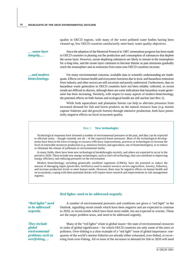quality in OECD regions, with many of the worst polluted water bodies having been cleaned up, few OECD countries satisfactorily meet basic water quality objectives.

Since the adoption of the Montreal Protocol in 1987, tremendous progress has been made in OECD countries in phasing out the production and consumption of substances that deplete the ozone layer. However, ozone-depleting substances are likely to remain in the stratosphere for a long time, and the ozone layer continues to become thinner as past emissions gradually reach the stratosphere and as emissions from some non-OECD countries increase.

*…and modern biotechnology.*

*… ozone layer integrity,…*

> For many environmental concerns, available data or scientific understanding are inadequate. Effects on human health and ecosystem functions due to toxic and hazardous emissions from industry and other sectors are still uncertain and poorly understood. Furthermore, data on hazardous waste generation in OECD countries have not been reliably collected, so recent trends are difficult to discern, although there are some indications that hazardous waste generation has been increasing. Similarly, with respect to many aspects of modern biotechnology, the potential effects on both human and ecological health are still unclear (see Box 1).

> While both aquaculture and plantation forests can help to alleviate pressures from increased demand for fish and forest products on the natural resource base (*e.g.* marine capture fisheries and old growth forests) through intensive production, both have potentially negative effects on local ecosystem quality.

#### Box 1. **New technologies**

Technological responses have lessened a number of environmental pressures in the past, and they can be expected to alleviate many – though certainly not all – of the expected future pressures. Most of the technological developments have been in the form of energy or resource efficiency improvements, practices or technologies to increase the level of renewable resources production (*e.g.* intensive forestry and agriculture, use of biotechnologies), or to reduce or eliminate the release of pollutants to environmental media.

In many fields, there have been new technological breakthroughs recently, and others are expected to occur in the period to 2020. These include new energy technologies, such as fuel cell technology, that can contribute to improving energy efficiency and reducing pressures on the environment.

Modern biotechnology, including genetically modified organisms (GMOs), have the potential to reduce the amount of damaging inputs (pesticides, fertilisers) used in natural resource sectors (agriculture, forestry, fisheries), and increase production levels to meet human needs. However, there may be negative effects on human health and on ecosystems; coping with these potential threats will require more research and improvements in risk management regimes.

#### **Red lights: need to be addressed urgently**

*"Red lights" need to be addressed urgently.*

*They include global environmental problems such as overfishing,…*

A number of environmental pressures and conditions are given a "red light" in the *Outlook*, signalling recent trends which have been negative and are expected to continue to 2020, or recent trends which have been more stable, but are expected to worsen. These are the major problem areas, and need to be addressed urgently.

Many of the "red lights" relate to global issues− the state of environmental resources or sinks of global significance – for which OECD countries are only some of the users or polluters. Over-fishing is a clear example of a "red light" issue of global importance: onequarter of the world's marine fisheries are already either exhausted, over-fished, or recovering from over-fishing. All or most of the increases in demand for fish to 2020 will need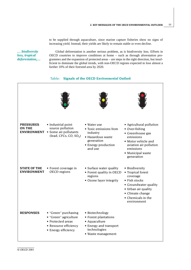to be supplied through aquaculture, since marine capture fisheries show no signs of increasing yield. Instead, their yields are likely to remain stable or even decline.

*… biodiversity loss, tropical deforestation,…*

Global deforestation is another serious problem, as is biodiversity loss. Efforts in OECD countries to improve conditions at home – such as through aforestation programmes and the expansion of protected areas – are steps in the right direction, but insufficient to dominate the global trends, with non-OECD regions expected to lose almost a further 10% of their forested area by 2020.

#### Table: **Signals of the** *OECD Environmental Outlook*

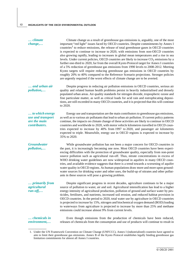*… climate change,…* Climate change as a result of greenhouse gas emissions is, arguably, one of the most important "red light" issues faced by OECD countries. Despite commitments by Annex I countries<sup>1</sup> to reduce emissions, the release of total greenhouse gases in OECD countries is expected to continue to increase to 2020, with emissions from non-OECD countries also growing rapidly, leading to increases in global mean temperatures and a rise in sea levels. Under current policies, OECD countries are likely to increase  $CO<sub>2</sub>$  emissions by a further one-third to 2020, far from the overall Kyoto Protocol target for Annex I countries of a 5% reduction of greenhouse gas emissions from 1990 levels to 2008-2012. Meeting Kyoto targets will require reducing greenhouse gas emissions in OECD countries by roughly 20% to 40% compared to the Reference Scenario projections. Stronger policies are urgently required if the worst effects of climate change are to be averted. *… and urban air* 

Despite progress in reducing air pollution emissions in OECD countries, serious air quality and related human health problems persist in heavily industrialised and densely populated urban areas. Air quality standards for nitrogen dioxide, tropospheric ozone and fine particulate matter, as well as critical loads for acid rain and eutrophicating depositions, are still exceeded in many OECD countries, and it is projected that this will continue to 2020.

*… to which energy use and transport are the main contributers.*

*Groundwater pollution,…*

*pollution,…*

Energy use and transportation are the main contributors to greenhouse gas emissions, as well as to various air pollutants that lead to urban air pollution. If current policy patterns continue, the impacts on climate change of these activities are likely to continue in OECD countries and worldwide to 2020, with motor vehicle kilometres travelled in OECD countries expected to increase by 40% from 1997 to 2020, and passenger air kilometres expected to triple. Meanwhile, energy use in OECD regions is expected to increase by 35% to 2020.

While groundwater pollution has not been a major concern for OECD countries in the past, it is increasingly becoming one now. Most OECD countries have been experiencing difficulties with the protection of groundwater quality, especially from non-point source pollution such as agricultural run-off. Thus, nitrate concentrations in excess of WHO drinking water guidelines are now widespread in aquifers in many OECD countries, and available evidence suggests that there is a trend towards a worsening of aquifer water quality in OECD regions. As human populations draw more and more upon groundwater sources for drinking water and other uses, the build-up of nitrates and other pollutants in these sources will pose a growing problem.

*… primarily from agricultural run-off,…*

Despite significant progress in recent decades, agriculture continues to be a major source of pollution to water, air and soil. Agricultural intensification has lead to a higher energy intensity of agricultural production, pollution of ground and surface water by pesticides, fertilisers, and nutrients, increased soil erosion, and reduced habitat provision in OECD countries. In the period to 2020, total water use by agriculture in OECD countries is projected to increase by 15%, nitrogen and biochemical oxygen demand (BOD) loading to waterways from agriculture is projected to increase by more than 25% and methane emissions could increase almost 9% from current levels.

*… chemicals in environment,…*

Even though emissions from the production of chemicals have been reduced, releases of chemicals from the consumption and use of products will continue to result in

<sup>1.</sup> Under the UN Framework Convention on Climate Change (UNFCCC), Annex I (industrialised) countries have agreed to aim to limit their greenhouse gas emissions. Annex B of the Kyoto Protocol establishes legally binding greenhouse gas limitation commitments for almost all Annex I countries.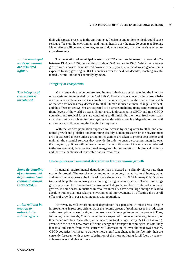their widespread presence in the environment. Persistent and toxic chemicals could cause serious effects on the environment and human health over the next 20 years (see Box 2). Major efforts will be needed to test, assess and, where needed, manage the risks of endocrine disrupters.

The generation of municipal waste in OECD countries increased by around 40% between 1980 and 1997, amounting to about 540 tonnes in 1997. While the average growth rate seems to have slowed down in recent years, municipal waste generation is expected to keep growing in OECD countries over the next two decades, reaching an estimated 770 million tonnes annually by 2020.

#### **Integrity of ecosystems**

Many renewable resources are used in unsustainable ways, threatening the integrity of ecosystems. As indicated by the "red lights", there are now concerns that current fishing practices and levels are not sustainable in the long run, and that the diversity and catch of the world's oceans may decrease to 2020. Human induced climate change is evident, and the effects on ecosystems are expected to be severe, including rising temperatures and rising levels of the world's oceans. Biodiversity is threatened in OECD and non-OECD countries, and tropical forests are continuing to diminish. Furthermore, freshwater scarcity is becoming a problem in some regions and desertification, land degradation, and soil erosion are also threatening the health of ecosystems.

With the world's population expected to increase by one-quarter to 2020, and economic growth and globalisation continuing steadily, human pressures on the environment are not expected to ease unless strong policy actions are taken to protect ecosystems and maintain the essential services they provide. In order to ensure ecosystem integrity over the long term, policies will be needed to secure detoxification of the substances released to the environment, decarbonisation of energy supply, conservation of biological diversity and the sustainable use of renewable natural resources.

#### **De-coupling environmental degradation from economic growth**

In general, environmental degradation has increased at a slightly slower rate than economic growth. The use of energy and other resources, like agricultural inputs, water and metals, now appears to be increasing at a slower rate than GDP in many OECD countries, and the pollution intensity of output is growing even more slowly. These trends suggest a potential for de-coupling environmental degradation from continued economic growth. In some cases, reductions in resource intensity have been large enough to lead to absolute, rather than just relative, environmental improvements by offsetting the overall effects of growth in per capita incomes and population.

However, overall environmental degradation has persisted in most areas, despite improvements in resource efficiency, as the volume effects of total increases in production and consumption have outweighed the resource efficiency gains per unit of product. Thus, following recent trends, OECD countries are expected to reduce the energy intensity of their economies by 20% to 2020, while increasing total energy use by 35% (see Figure 1). Even with the use of new, more efficient, energy and transport technologies, it is unlikely that total emissions from these sources will decrease much over the next two decades. OECD countries will need to achieve more significant changes in the fuel mix than are currently foreseen, with greater substitution of the more polluting fossil fuels by renewable resources and cleaner fuels.

*… and municipal waste generation are also "red lights".*

*The integrity of ecosystems is threatened.*

*Some de-coupling of environmental degradation from economic growth is expected,…*

*… but will not be enough to outweigh the volume effects.*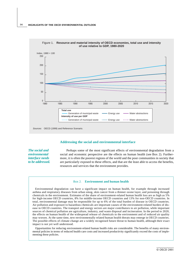

#### **Addressing the social and environmental interface**

*The social and environmental interface needs to be addressed.*

Perhaps some of the most significant effects of environmental degradation from a social and economic perspective are the effects on human health (see Box 2). Furthermore, it is often the poorest regions of the world and the poor communities in society that are particularly exposed to these effects, and that are the least able to access the benefits, resources and services that the environment provides.

#### Box 2. **Environment and human health**

Environmental degradation can have a significant impact on human health, for example through increased asthma and respiratory diseases from urban smog, skin cancer from a thinner ozone layer, and poisoning through chemicals in the environment. Estimates of the share of environment-related human health loss are as high as 5% for high-income OECD countries, 8% for middle-income OECD countries and 13% for non-OECD countries. In total, environmental damage may be responsible for up to 6% of the total burden of disease in OECD countries. Air pollution and exposure to hazardous chemicals are important causes of the environment-related burden of disease in OECD countries. The transport and energy sectors are major contributors to air pollution, while important sources of chemical pollution are agriculture, industry, and waste disposal and incineration. In the period to 2020, the effects on human health of the widespread release of chemicals to the environment and of reduced air quality may worsen. At the same time, new environmentally related human health threats may emerge in OECD countries. The possible effects of climate change are a widely recognised future threat to human health, although their exact impact is not yet well understood.

Opportunities for reducing environment-related human health risks are considerable. The benefits of many environmental policies in terms of reduced health care costs and increased productivity significantly exceed the costs of implementing these policies.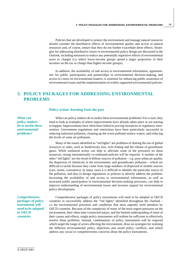Policies that are developed to protect the environment and manage natural resources should consider the distributive effects of environmental quality and access to natural resources and, of course, ensure that they do not further exacerbate these effects. Strategies for addressing distributive issues in environmental policy design are discussed in the *Outlook*, including measures to reduce any potentially regressive effects of environmental taxes or charges (*i.e.* where lower-income groups spend a larger proportion of their incomes on the tax or charge than higher-income groups).

In addition, the availability of and access to environmental information, opportunities for public participation and partnerships in environmental decision-making, and access to courts on environmental matters, is essential for enhancing public awareness of environmental issues and the implementation of widely supported environmental policies.

# **3. POLICY PACKAGES FOR ADDRESSING ENVIRONMENTAL PROBLEMS**

#### **Policy action: learning from the past**

*What can policy-makers do to tackle these environmental problems?*

What can policy-makers do to tackle these environmental problems? For a start, they need to look at examples of where improvements have already taken place or are starting to happen. Improvements have often been linked to pricing incentives or regulatory intervention. Government regulations and restrictions have been particularly successful in reducing industrial pollution, cleaning up the worst polluted surface waters, and reducing the levels of some air pollutants.

Many of the issues identified as "red lights" are problems of sharing the use of global resources or sinks, such as biodiversity loss, over-fishing and the release of greenhouse gases. While unilateral action can help to alleviate some of the pressures on these resources, strong internationally co-ordinated policies will be required. A number of the other "red lights" are the result of diffuse sources of pollution  $-e.g.$  poor urban air quality, the dispersion of chemicals in the environment, and groundwater pollution – which are difficult to tackle because they come from large numbers of dispersed or mobile sources (cars, farms, consumers). In many cases it is difficult to identify the particular source of the pollution, and thus to design regulations or policies to directly address the problem. Increasing the availability of and access to environmental information, as well as increased public participation in environmental decision-making processes, can help to improve understanding of environmental issues and increase support for environmental policy development.

*Comprehensive packages of policy instruments will need to be adopted in OECD countries.*

Comprehensive packages of policy instruments will need to be adopted in OECD countries to successfully address the "red lights" identified throughout the *Outlook* – *i.e.* the environmental pressures and conditions that most urgently need attention by OECD countries. Because of the complexity of many of the most urgent pressures on the environment, their often inter-connected nature, and the limited understanding of some of their causes and effects, single policy instruments will seldom be sufficient to effectively resolve these problems. Instead, combinations of policy instruments will be required which target the range of actors affecting the environment, draw on synergies for realising the different environmental policy objectives and avoid policy conflicts, and which address any social or competitiveness concerns about the policy instruments.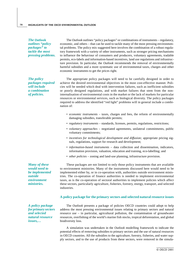*The* **Outlook** *outlines "policy packages" to tackle the most pressing problems.*

The *Outlook* outlines "policy packages" or combinations of instruments – regulatory, economic, and others – that can be used to tackle many of the most pressing environmental problems. The policy mix suggested here involves the combination of a robust regulatory framework with a variety of other instruments, such as stronger pricing mechanisms to influence the behaviour of consumers and producers, voluntary agreements, tradable permits, eco-labels and information-based incentives, land use regulations and infrastructure provision. In particular, the *Outlook* recommends the removal of environmentally harmful subsidies and a more systematic use of environmental taxes, charges and other economic instruments to get the prices right.

*The policy packages required will include a combination of policies.*

The appropriate policy packages will need to be carefully designed in order to achieve the desired environmental objectives in the most cost-effective manner. Policies will be needed which deal with intervention failures, such as inefficient subsidies or poorly designed regulations, and with market failures that stem from the noninternalisation of environmental costs in the market or the lack of markets for particular resources or environmental services, such as biological diversity. The policy packages required to address the identified "red light" problems will in general include a combination of:

- *economic instruments* taxes, charges and fees, the reform of environmentally damaging subsidies, transferable permits;
- *regulatory instruments* standards, licenses, permits, regulations, restrictions;
- *voluntary approaches –* negotiated agreements, unilateral commitments, public voluntary commitments;
- *incentives for technological development and diffusion;* appropriate pricing signals, regulations, support for research and development;
- *information-based instruments* data collection and dissemination, indicators, information provision, valuation, education and training, eco-labelling; and
- *other policies* zoning and land-use planning, infrastructure provision.

These packages are not limited to only those policy instruments that are available to environment ministries. Many of the instruments discussed here would need to be implemented either by, or in co-operation with, authorities outside environment ministries. The co-operation of finance authorities is needed to implement environmental taxes, as is the co-operation of sectoral authorities to implement policies which affect these sectors, particularly agriculture, fisheries, forestry, energy, transport, and selected industries.

#### **A policy package for the primary sectors and selected natural resource issues**

The *Outlook* presents a package of policies OECD countries could adopt to help address the most pressing environmental issues relating to primary sectors and natural resource use – in particular, agricultural pollution, the contamination of groundwater resources, overfishing of the world's marine fish stocks, tropical deforestation, and global biodiversity loss.

<span id="page-13-0"></span>A simulation was undertaken in the *Outlook* modelling framework to indicate the potential effects of removing subsidies to primary sectors and the use of natural resources in OECD countries. All the subsidies to the agriculture, forestry, fisheries, and water supply sectors, and to the use of products from these sectors, were removed in the simula-

*Many of these would need to be implemented outside environment ministries.*

*A policy package for primary sectors and selected natural resource issues,…*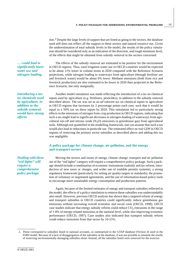tion.<sup>[2](#page-13-0)</sup> Despite the large levels of support that are listed as going to the sectors, the database used still does not reflect all the support to these sectors and natural resource use. Given the underestimation of total subsidy levels in the model, the results of the policy simulation should be considered only as an indication of the direction, and rough minimum level, of the effects that might be obtained from subsidy removal in the sectors concerned.

The effects of the subsidy removal are estimated to be positive for the environment in OECD regions. Thus, total irrigation water use in OECD countries would be expected to be about 11% lower in volume terms in 2020 compared with the Reference Scenario projections, while nitrogen loading to waterways from agriculture (through fertiliser use and livestock waste) would be about 6% lower. Methane emissions (both from rice and livestock production) are also estimated to be lower in 2020 than projected in the Reference Scenario, but only marginally.

Another model simulation was made reflecting the introduction of a tax on chemical inputs used by agriculture (*e.g.* fertilisers, pesticides), in addition to the subsidy removal described above. The tax was set as an *ad valorem* tax on chemical inputs to agriculture in OECD regions that increases by 2 percentage points each year, such that it would be equal to a 50% tax on these inputs by 2020. This simulation led to particularly strong effects in the emissions of nitrogen from crop production in OECD regions, indicating that such a tax might lead to significant decreases in nitrogen-loading of waterways from agricultural run-off and nitrous oxide  $(N_2O)$  emissions (a greenhouse gas) from agricultural soils. Although not quantified in the modelling framework, one can assume that such a tax would also lead to reductions in pesticide use. The estimated effect on real GDP in OECD regions of removing the primary sector subsidies as described above and adding this tax was negligible.

#### **A policy package for climate change, air pollution, and the energy and transport sectors**

Moving the sectors and issues of energy, climate change, transport and air pollution out of the "red lights" category will require a comprehensive policy package. Such a package should include a combination of economic instruments (subsidy and tax reform, introduction of new taxes or charges, and wider use of tradable permits systems), a strong regulatory framework (particularly for setting air quality targets or standards), the promotion of voluntary or negotiated agreements, and the use of information-based policy tools to encourage more sustainable energy consumption and production patterns.

Again, because of the limited estimates of energy and transport subsidies reflected in the model, the effects of a policy simulation to remove these subsidies was understandably also small. However, previous OECD analysis has shown that a targeted reform of energy and transport subsidies in OECD countries could significantly reduce greenhouse gas emissions without increasing overall economic and social costs (OECD, 1998). OECD case studies indicate that energy subsidy reform could reduce  $CO<sub>2</sub>$  emissions in the range of 1-8% of energy-related emissions at the national level, while also improving economic performance (OECD, 1997). Case studies also indicated that transport subsidy reform could reduce emissions from that sector by 10-15%.

*… could lead to significantly lower water use and nitrogen loading.*

*Introducing a tax on chemicals used by agriculture, in addition to the subsidy removal, would have strong effects.*

*Dealing with these "red lights" will require a comprehensive policy package.*

<sup>2.</sup> These correspond to subsidies listed in national accounts, as summarised in the GTAP database (Version 4) used in the JOBS model. Because of a lack of disaggregation of the subsidies in the database, it was not possible to simulate the results of removing environmentally damaging subsidies alone. Instead, all the subsidies listed were removed for the exercise.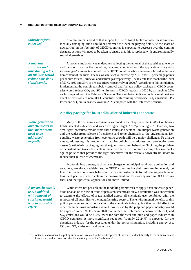#### *Subsidy reform is needed.*

At a minimum, subsidies that support the use of fossil fuels over other, less environmentally damaging, fuels should be reformed to "level the playing field". As the share of nuclear fuel in the fuel mix of OECD countries is expected to decrease over the coming decades, actions will need to be taken to ensure that this is replaced with environmentally sound alternatives.

*Removing subsidies and introducing a tax on fuel use would reduce emissions significantly.*

A model simulation was undertaken reflecting the removal of the subsidies to energy and transport listed in the modelling database, combined with the application of a yearly increasing *ad valorem* tax on fuel use in OECD countries whose increase is linked to the carbon content of the fuels. The tax was thus set to increase by 2, 1.6 and 1.2 percentage points per annum for coal, crude oil and natural gas respectively. The tax rate thus reached the level of 50%, 40% and 30% of pre-tax prices respectively in  $2020$ .<sup>3</sup> According to this simulation, implementing the combined subsidy removal and fuel tax policy package in OECD countries would reduce  $CO_2$  and  $SO_x$  emissions in OECD regions in 2020 by as much as 25% each compared with the Reference Scenario. The simulation indicated only a small leakage effect of emissions to non-OECD countries, with resulting worldwide  $CO<sub>2</sub>$  emissions 11% lower and  $SO_x$  emissions 9% lower in 2020 compared with the Reference Scenario.

#### **A policy package for households, selected industries and waste**

Many of the pressures and issues examined in the chapters of the *Outlook* on households, selected industries and waste are "green lights" or "yellow lights". However, two "red light" pressures remain from these issues and sectors – municipal waste generation and the widespread release of persistent and toxic chemicals to the environment. Decoupling waste generation from economic growth will be a major challenge. To a large extent, addressing this problem will require policies that address both production processes (particularly packaging practices), and consumer behaviour. Tackling the problem of persistent and toxic chemicals in the environment will require a comprehensive package of policies that provides the right incentives for the various down-stream actors to reduce their release of chemicals.

Economic instruments, such as user charges on municipal solid waste collection and treatment, are already widely used in OECD countries but their rates are, in general, too low to influence consumer behaviour. Economic instruments for addressing problems of toxic and persistent chemicals in the environment are less widely used in OECD countries, and their potential applications are more limited.

While it was not possible in the modelling framework to apply a tax on waste generation or a tax on the use of toxic or persistent chemicals only, a simulation was undertaken to examine the effects of a tax applied across all chemicals use, combined with the removal of all subsidies to the manufacturing sectors. The environmental benefits of this policy package are most noticeable in the chemicals industry, but they would affect the other manufacturing industries as well. Water use by the pulp and paper industry would be expected to be 3% lower in 2020 than under the Reference Scenario, while  $CO<sub>2</sub>$  and  $SO_x$  emissions would be 4-5% lower for both the steel and pulp and paper industries in OECD countries. A more significant reduction (roughly 22-24%) is expected for the chemicals industry for the pressures under the policy simulation, including energy use,  $CO<sub>2</sub>$  and  $SO<sub>x</sub>$  emissions, and water use.

*Waste generation and chemicals in the environment need to be addressed urgently.*

*A tax on chemicals use, combined with removal of subsidies, would lead to noticable effects.*

<sup>3.</sup> For technical reasons, the policy simulation is related to the pre-tax prices of the fuels, and not directly to the carbon content of each fuel, and so does not, strictly speaking, reflect a "carbon tax".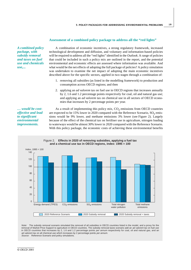#### **Assessment of a combined policy package to address all the "red lights"**

*A combined policy package, with subsidy removal and taxes on fuel use and chemicals use,...*

A combination of economic incentives, a strong regulatory framework, increased technological development and diffusion, and voluntary and information-based policies will be required to address all the "red lights" identified in the *Outlook*. A range of policies that could be included in such a policy mix are outlined in the report, and the potential environmental and economic effects are assessed where information was available. And what would be the net effects of adopting the full package of policies? A policy simulation was undertaken to examine the net impact of adopting the main economic incentives described above for the specific sectors, applied in two stages through a combination of:

- 1. removing all subsidies (as listed in the modelling framework) to production and consumption across OECD regions; and then
- 2. applying an *ad valorem* tax on fuel use in OECD regions that increases annually by 2, 1.6 and 1.2 percentage points respectively for coal, oil and natural gas use; and applying an *ad valorem* tax on chemical use in all sectors of OECD economies that increases by 2 percentage points per year.

*… would be costeffective and lead to significant environmental improvements.*

As a result of implementing this policy mix,  $CO<sub>2</sub>$  emissions from OECD countries are expected to be 15% lower in 2020 compared with the Reference Scenario,  $SO_x$  emissions would be 9% lower, and methane emissions 3% lower (see Figure 2). Largely because of the effect of the chemical tax on fertiliser use in agriculture, nitrogen loading to waterways would be almost 30% lower in 2020 compared with the Reference Scenario. With this policy package, the economic costs of achieving these environmental benefits





Note: The subsidy removal scenario simulated the removal of all subsidies in OECD countries listed in the model, and a proxy for the removal of Market Price Support to agriculture in OECD countries. The subsidy removal taxes scenario add an ad valorem tax on fuel use in OECD countries that increases by 2, 1.6 and 1.2 percentage points per annum respectively for coal, oil and natural gas, and an ad valorem tax on all chemical use which increases by 2 percentage points per annum. Source: Reference Scenario and policy simulations.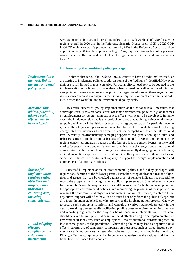were estimated to be marginal – resulting in less than a 1% lower level of GDP for OECD regions overall in 2020 than in the Reference Scenario. Hence, from 1995 to 2020 GDP in OECD regions overall is projected to grow by 61% in the Reference Scenario and by approximatively 60% with the policy package. Thus, implementing such a policy package would be cost-effective and would lead to significant environmental improvements by 2020.

#### **Implementing the combined policy package**

*Implementation is the weak link in the environmental policy cycle.* 

As shown throughout the *Outlook*, OECD countries have already implemented, or are starting to implement, policies to address some of the "red lights" identified. However, their use is still limited in most countries. Particular efforts need now to be devoted to the implementation of policies that have already been agreed, as well as to the adoption of new policies to ensure comprehensive policy packages for addressing these urgent issues. As is shown over and over again in the *Outlook*, implementation of environmental policies is often the weak link in the environmental policy cycle.

*Measures that address potentially adverse social effects need to be developed.*

*Successful implementation requires setting objectives and targets, using indicators, collecting data, involving stakeholders,...* 

*… and adopting effective compliance and enforcement mechanisms.*

To ensure successful policy implementation at the national level, measures that address potentially adverse social effects of some environmental policies (*e.g.* on incomes or employment) or sectoral competitiveness effects will need to be developed. In many cases, the implementation gap is the result of concerns that applying a given environmental policy will result in hardships for a particular region, sector, or for particular income groups. Thus, large exemptions are often in place for fuel taxes, with the aim of protecting energy-intensive industries from adverse effects on competitiveness at the international level. Similarly, environmentally damaging support to coal production, agriculture, and fisheries is often difficult to remove because of the potential effects on employment in the regions concerned, and again because of the fear of a loss of competitiveness in the world market for sectors where support is common practice. In such cases, stronger international co-operation can be the key to reforming the environmentally damaging policies. Finally, an implementation gap for environmental policies often persists where there is a lack of scientific, technical, or institutional capacity to support the design, implementation and enforcement of appropriate policies.

Successful implementation of environmental policies and policy packages will require consideration of the following issues. First, the setting of clear and realistic objectives and targets that can be checked against a set of reliable indicators is essential to record the progress that is being made in policy implementation. Strengthened data collection and indicator development and use will be essential for both the development of the appropriate environmental policies, and monitoring the progress of these policies in reaching the environmental objectives and targets that are set. Second, to achieve these objectives, support will often have to be secured not only from the public at large, but also from the main stakeholders who are part of the implementation process. One way to secure such support is to inform and consult the various stakeholders early in the decision-making process, while facilitating public access to environmental information and reporting regularly on the progress being made in implementation. Third, care should be taken to limit potential negative social effects arising from implementation of environmental measures, such as employment loss or additional burdens imposed on low-income groups of the population. Where the policies may lead to negative social effects, careful use of temporary compensation measures, such as direct income payments to affected workers or retraining schemes, can help to smooth the transition. Finally, effective compliance and enforcement mechanisms at the national and international levels will need to be adopted.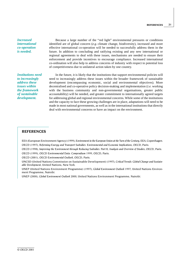*Increased international co-operation is needed.*

*Institutions need to increasingly address these issues within the framework of sustainable development.*

Because a large number of the "red light" environmental pressures or conditions identified are of global concern (*e.g.* climate change, biodiversity), increased and more effective international co-operation will be needed to successfully address them in the future. In addition to concluding and ratifying existing and any new international or regional agreements to deal with these issues, mechanisms are needed to ensure their enforcement and provide incentives to encourage compliance. Increased international co-ordination will also help to address concerns of industry with respect to potential loss of competitiveness due to unilateral action taken by one country.

In the future, it is likely that the institutions that support environmental policies will need to increasingly address these issues within the broader framework of sustainable development (encompassing economic, social and environmental objectives). More decentralised and co-operative policy decision-making and implementation (*i.e.* working with the business community and non-governmental organisations, greater public accountability) will be needed, and greater commitment to internationally agreed targets for addressing global and regional environmental concerns. While some of the institutions and the capacity to face these growing challenges are in place, adaptations will need to be made in most national governments, as well as in the international institutions that directly deal with environmental concerns or have an impact on the environment.

#### **REFERENCES**

EEA (European Environment Agency) (1999), *Environment in the European Union at the Turn of the Century*, EEA, Copenhagen. OECD (1997), *Reforming Energy and Transport Subsidies: Environmental and Economic Implications*, OECD, Paris.

OECD (1998), *Improving the Environment through Reducing Subsidies: Part II, Analysis and Overview of Studies*, OECD, Paris. OECD (1999), *OECD Environmental Data: Compendium 1999*, OECD, Paris.

OECD (2001), OECD *Environmental Outlook,* OECD, Paris.

UNCSD (United Nations Commission on Sustainable Development) (1997), *Critical Trends: Global Change and Sustainable Development*, United Nations, New York.

UNEP (United Nations Environment Programme) (1997), *Global Environment Outlook 1997*, United Nations Environment Programme, Nairobi.

UNEP (2000), *Global Environment Outlook 2000*, United Nations Environment Programme, Nairobi.